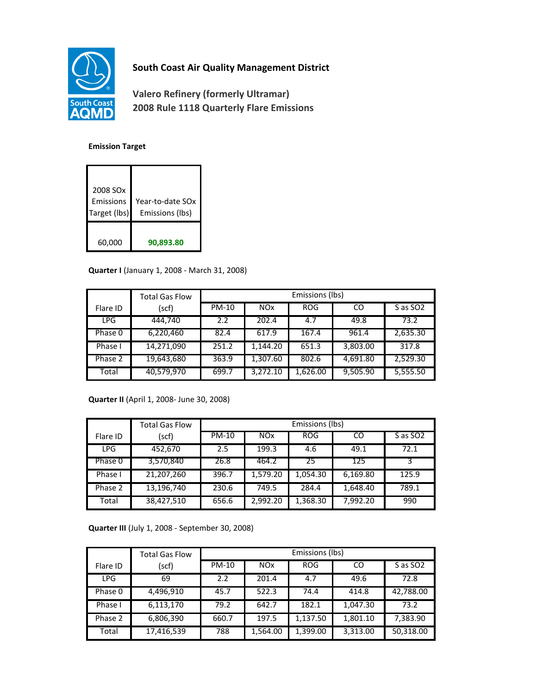

## **South Coast Air Quality Management District**

**Valero Refinery (formerly Ultramar) 2008 Rule 1118 Quarterly Flare Emissions**

## **Emission Target**

| 2008 SO <sub>x</sub><br>Emissions<br>Target (lbs) | Year-to-date SOx<br>Emissions (lbs) |
|---------------------------------------------------|-------------------------------------|
| 60,000                                            | 90,893.80                           |

## **Quarter I** (January 1, 2008 - March 31, 2008)

|            | <b>Total Gas Flow</b> | Emissions (lbs) |            |            |          |                      |
|------------|-----------------------|-----------------|------------|------------|----------|----------------------|
| Flare ID   | (scf)                 | PM-10           | <b>NOx</b> | <b>ROG</b> | CO       | S as SO <sub>2</sub> |
| <b>LPG</b> | 444.740               | 2.2             | 202.4      | 4.7        | 49.8     | 73.2                 |
| Phase 0    | 6,220,460             | 82.4            | 617.9      | 167.4      | 961.4    | 2,635.30             |
| Phase I    | 14,271,090            | 251.2           | 1.144.20   | 651.3      | 3,803.00 | 317.8                |
| Phase 2    | 19,643,680            | 363.9           | 1,307.60   | 802.6      | 4,691.80 | 2,529.30             |
| Total      | 40,579,970            | 699.7           | 3,272.10   | 1,626.00   | 9,505.90 | 5,555.50             |

**Quarter II** (April 1, 2008- June 30, 2008)

|            | <b>Total Gas Flow</b> | Emissions (lbs) |            |            |          |                      |
|------------|-----------------------|-----------------|------------|------------|----------|----------------------|
| Flare ID   | (scf)                 | PM-10           | <b>NOx</b> | <b>ROG</b> | CO       | S as SO <sub>2</sub> |
| <b>LPG</b> | 452,670               | 2.5             | 199.3      | 4.6        | 49.1     | 72.1                 |
| Phase 0    | 3,570,840             | 26.8            | 464.2      | 25         | 125      |                      |
| Phase I    | 21,207,260            | 396.7           | 1.579.20   | 1,054.30   | 6,169.80 | 125.9                |
| Phase 2    | 13,196,740            | 230.6           | 749.5      | 284.4      | 1,648.40 | 789.1                |
| Total      | 38,427,510            | 656.6           | 2.992.20   | 1,368.30   | 7,992.20 | 990                  |

**Quarter III** (July 1, 2008 - September 30, 2008)

|            | <b>Total Gas Flow</b> | Emissions (lbs) |                 |            |          |                      |
|------------|-----------------------|-----------------|-----------------|------------|----------|----------------------|
| Flare ID   | (scf)                 | PM-10           | NO <sub>x</sub> | <b>ROG</b> | CO.      | S as SO <sub>2</sub> |
| <b>LPG</b> | 69                    | 2.2             | 201.4           | 4.7        | 49.6     | 72.8                 |
| Phase 0    | 4,496,910             | 45.7            | 522.3           | 74.4       | 414.8    | 42,788.00            |
| Phase I    | 6,113,170             | 79.2            | 642.7           | 182.1      | 1,047.30 | 73.2                 |
| Phase 2    | 6,806,390             | 660.7           | 197.5           | 1,137.50   | 1,801.10 | 7,383.90             |
| Total      | 17,416,539            | 788             | 1,564.00        | 1,399.00   | 3,313.00 | 50,318.00            |